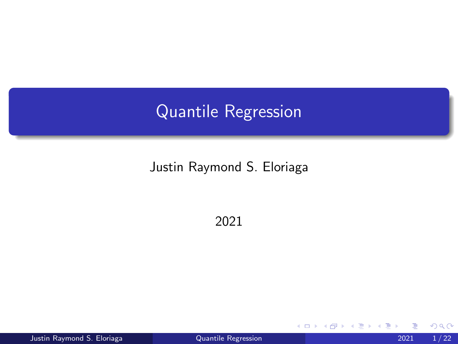# <span id="page-0-0"></span>Quantile Regression

#### Justin Raymond S. Eloriaga

2021

Justin Raymond S. Eloriaga [Quantile Regression](#page-55-0) 2021 1 / 22

4 0 8

э **D**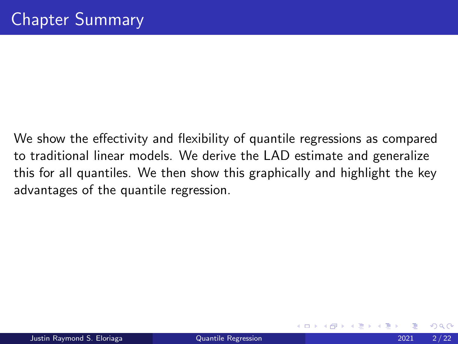We show the effectivity and flexibility of quantile regressions as compared to traditional linear models. We derive the LAD estimate and generalize this for all quantiles. We then show this graphically and highlight the key advantages of the quantile regression.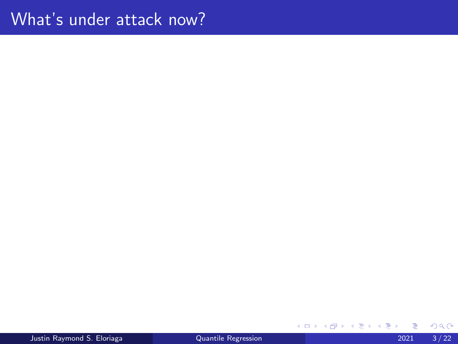Justin Raymond S. Eloriaga [Quantile Regression](#page-0-0) 2021 3 / 22

Þ

メロトメ 倒 トメ ミトメ ミト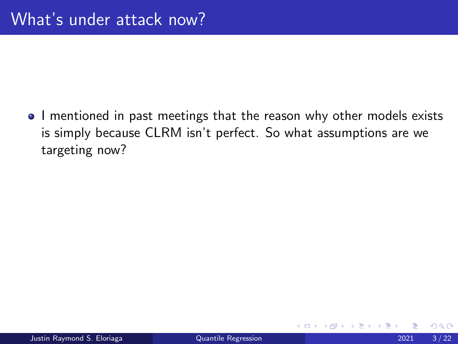• I mentioned in past meetings that the reason why other models exists is simply because CLRM isn't perfect. So what assumptions are we targeting now?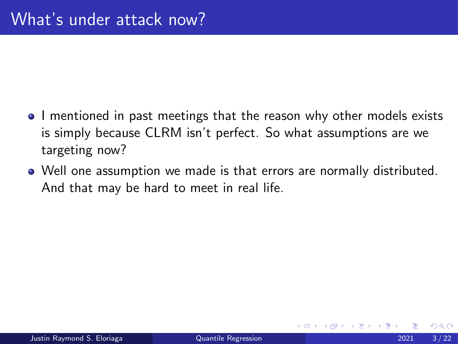- I mentioned in past meetings that the reason why other models exists is simply because CLRM isn't perfect. So what assumptions are we targeting now?
- Well one assumption we made is that errors are normally distributed. And that may be hard to meet in real life.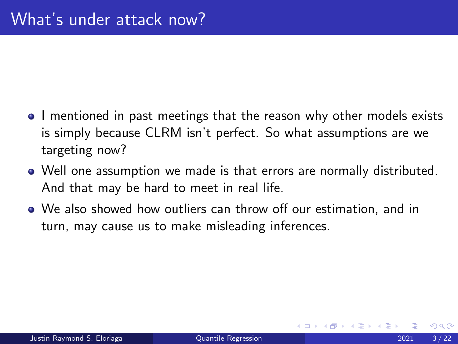- I mentioned in past meetings that the reason why other models exists is simply because CLRM isn't perfect. So what assumptions are we targeting now?
- Well one assumption we made is that errors are normally distributed. And that may be hard to meet in real life.
- We also showed how outliers can throw off our estimation, and in turn, may cause us to make misleading inferences.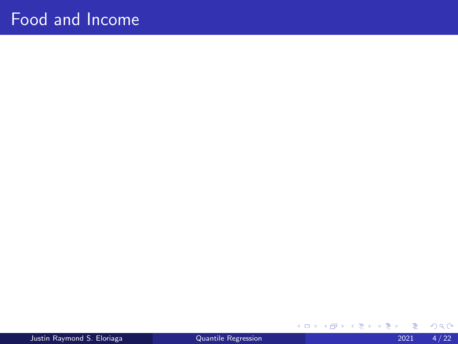### Food and Income

Justin Raymond S. Eloriaga [Quantile Regression](#page-0-0) 2021 4 / 22

э

メロトメ 倒 トメ ミトメ ミト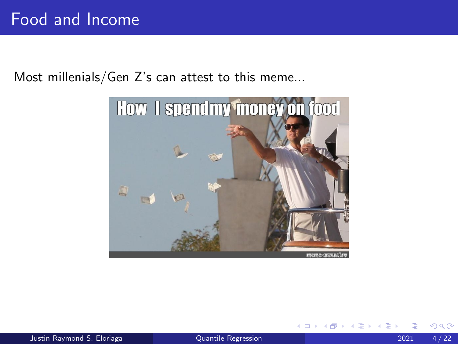Most millenials/Gen Z's can attest to this meme...



4 0 8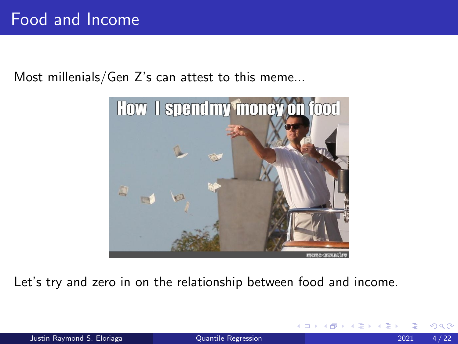Most millenials/Gen Z's can attest to this meme...



Let's try and zero in on the relationship between food and income.

 $\leftarrow$   $\Box$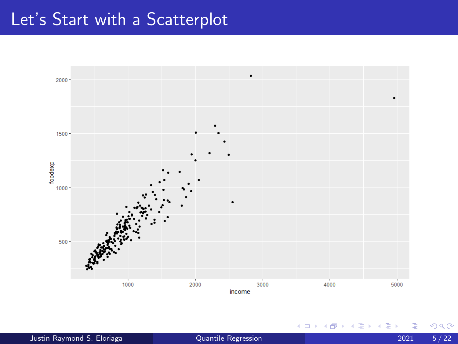### Let's Start with a Scatterplot



**∢ ロ ▶ ィ 伊** 

**II**  $\left( 1\right)$ э  $\rightarrow$ 

- 이런 J. Þ  $2Q$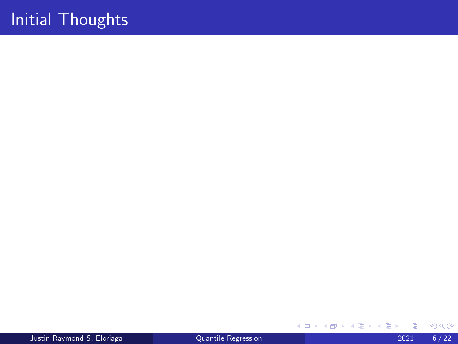Justin Raymond S. Eloriaga [Quantile Regression](#page-0-0) 2021 6 / 22

 $299$ 

÷,

イロト イ部 トイモ トイモト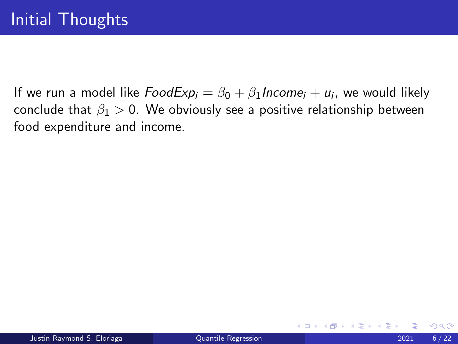4 0 F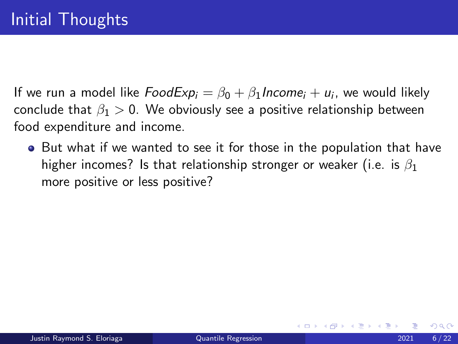• But what if we wanted to see it for those in the population that have higher incomes? Is that relationship stronger or weaker (i.e. is  $\beta_1$ ) more positive or less positive?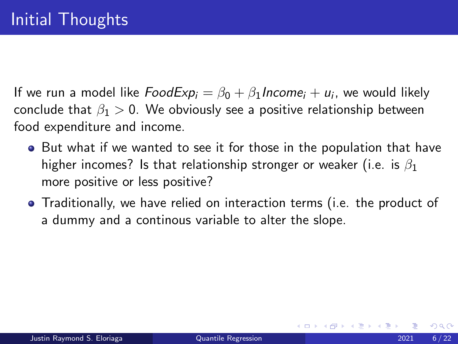- But what if we wanted to see it for those in the population that have higher incomes? Is that relationship stronger or weaker (i.e. is  $\beta_1$ ) more positive or less positive?
- Traditionally, we have relied on interaction terms (i.e. the product of a dummy and a continous variable to alter the slope.

つへへ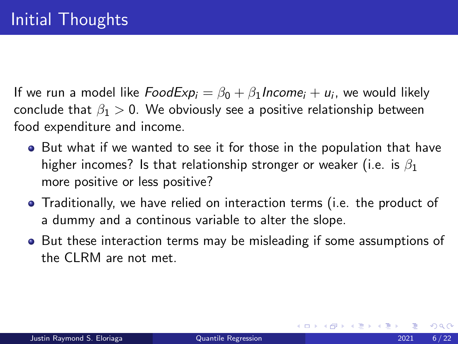- But what if we wanted to see it for those in the population that have higher incomes? Is that relationship stronger or weaker (i.e. is  $\beta_1$ ) more positive or less positive?
- Traditionally, we have relied on interaction terms (i.e. the product of a dummy and a continous variable to alter the slope.
- But these interaction terms may be misleading if some assumptions of the CLRM are not met.

つへへ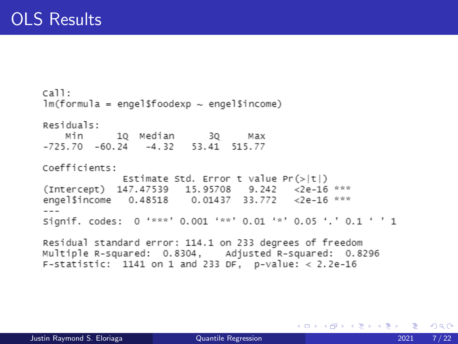$cail:$  $lm(formula = engel$foodexp ~ engel$income)$ Residuals: Min 10 Median 30 Max  $-725.70$   $-60.24$   $-4.32$   $53.41$   $515.77$ Coefficients: Estimate Std. Error t value  $Pr(\gt|t|)$ (Intercept) 147.47539 15.95708 9.242 <2e-16 \*\*\* engel\$income 0.48518 0.01437 33.772 <2e-16 \*\*\*  $- - -$ Signif. codes: 0 '\*\*\*' 0.001 '\*\*' 0.01 '\*' 0.05 '.' 0.1 ' ' 1 Residual standard error: 114.1 on 233 degrees of freedom Multiple R-squared: 0.8304. Adjusted R-squared: 0.8296

F-statistic: 1141 on 1 and 233 DF, p-value: < 2.2e-16

メロメメ 御 メメ きょく ヨメッ 君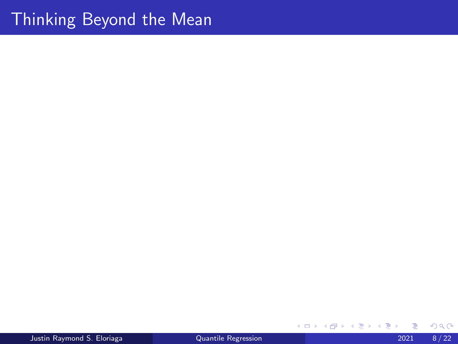#### Thinking Beyond the Mean

Þ **D** 

メロメ (御) メミンメモ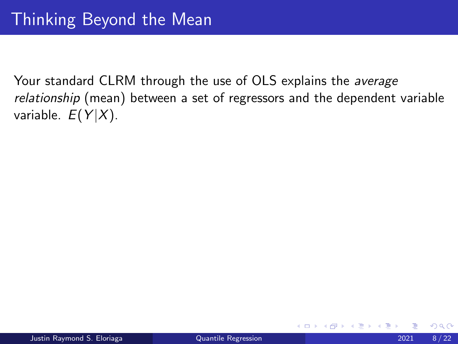4 D F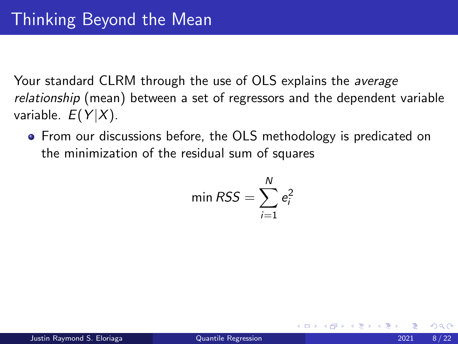• From our discussions before, the OLS methodology is predicated on the minimization of the residual sum of squares

$$
\min \text{RSS} = \sum_{i=1}^{N} e_i^2
$$

つひひ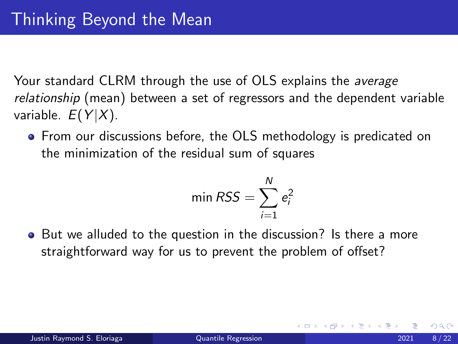**•** From our discussions before, the OLS methodology is predicated on the minimization of the residual sum of squares

$$
\min \text{RSS} = \sum_{i=1}^{N} e_i^2
$$

• But we alluded to the question in the discussion? Is there a more straightforward way for us to prevent the problem of offset?

つひい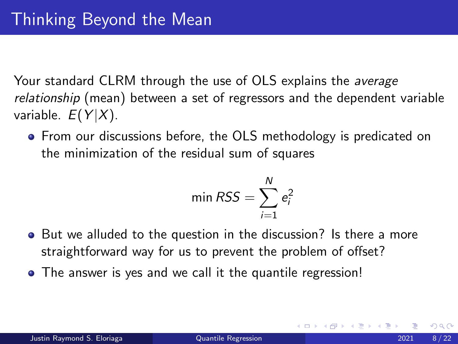**•** From our discussions before, the OLS methodology is predicated on the minimization of the residual sum of squares

$$
\min \text{RSS} = \sum_{i=1}^{N} e_i^2
$$

- But we alluded to the question in the discussion? Is there a more straightforward way for us to prevent the problem of offset?
- The answer is yes and we call it the quantile regression!

つひい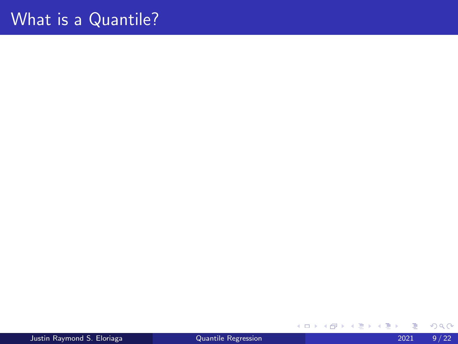# What is a Quantile?

Justin Raymond S. Eloriaga [Quantile Regression](#page-0-0) 2021 9 / 22

Þ

メロトメ 倒 トメ ミトメ ミト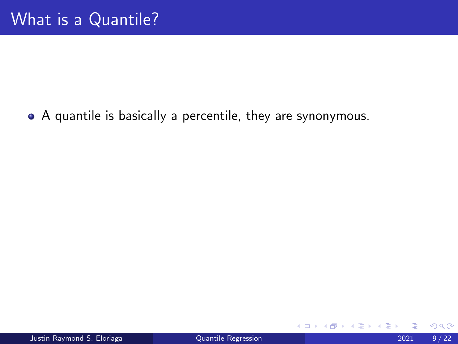A quantile is basically a percentile, they are synonymous.

4 0 F

э → < 3H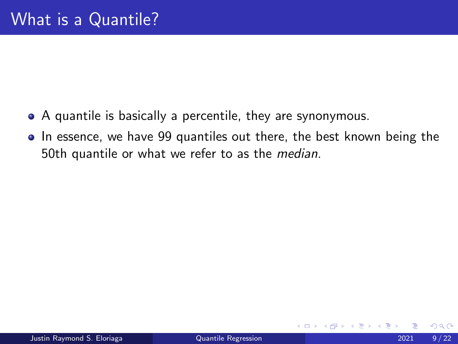- A quantile is basically a percentile, they are synonymous.
- In essence, we have 99 quantiles out there, the best known being the 50th quantile or what we refer to as the median.

4 **D**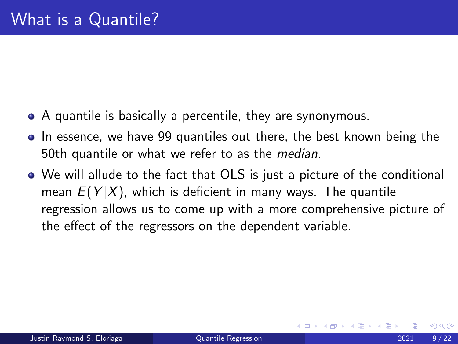- A quantile is basically a percentile, they are synonymous.
- In essence, we have 99 quantiles out there, the best known being the 50th quantile or what we refer to as the median.
- We will allude to the fact that OLS is just a picture of the conditional mean  $E(Y|X)$ , which is deficient in many ways. The quantile regression allows us to come up with a more comprehensive picture of the effect of the regressors on the dependent variable.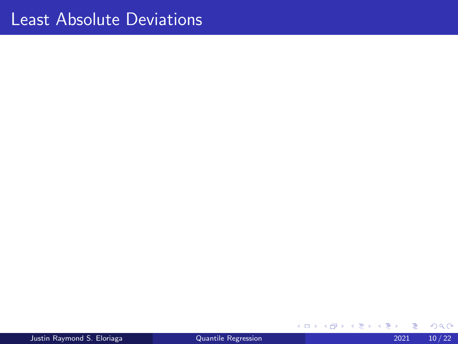Justin Raymond S. Eloriaga [Quantile Regression](#page-0-0) 2021 10 / 22

メロトメ 倒 トメ ミトメ ミト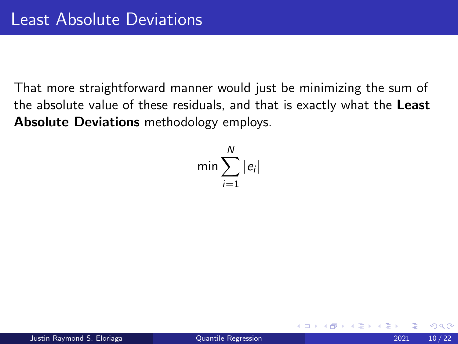That more straightforward manner would just be minimizing the sum of the absolute value of these residuals, and that is exactly what the Least Absolute Deviations methodology employs.

$$
\min \sum_{i=1}^N |e_i|
$$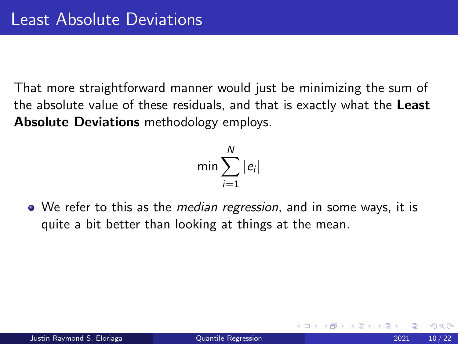That more straightforward manner would just be minimizing the sum of the absolute value of these residuals, and that is exactly what the Least Absolute Deviations methodology employs.

$$
\min \sum_{i=1}^N |e_i|
$$

• We refer to this as the *median regression*, and in some ways, it is quite a bit better than looking at things at the mean.

つひい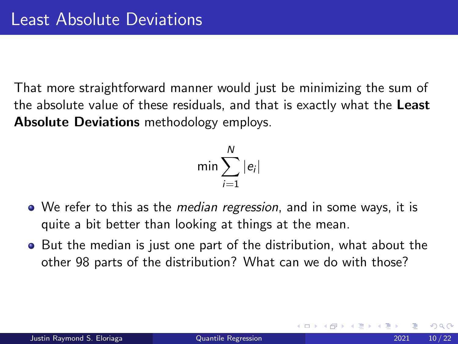That more straightforward manner would just be minimizing the sum of the absolute value of these residuals, and that is exactly what the Least Absolute Deviations methodology employs.

$$
\min \sum_{i=1}^N |e_i|
$$

- We refer to this as the *median regression*, and in some ways, it is quite a bit better than looking at things at the mean.
- **•** But the median is just one part of the distribution, what about the other 98 parts of the distribution? What can we do with those?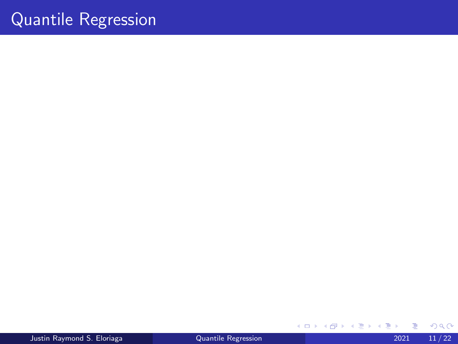## Quantile Regression

Justin Raymond S. Eloriaga [Quantile Regression](#page-0-0) 2021 11 / 22

メロトメ 倒 トメ ミトメ ミト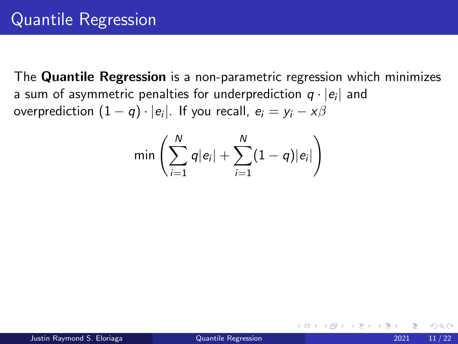The Quantile Regression is a non-parametric regression which minimizes a sum of asymmetric penalties for underprediction  $q\cdot |e_i|$  and overprediction  $(1-q)\cdot |e_i|$ . If you recall,  $e_i=y_i-x\beta$ 

$$
\text{min}\left(\sum_{i=1}^N q|e_i| + \sum_{i=1}^N (1-q)|e_i|\right)
$$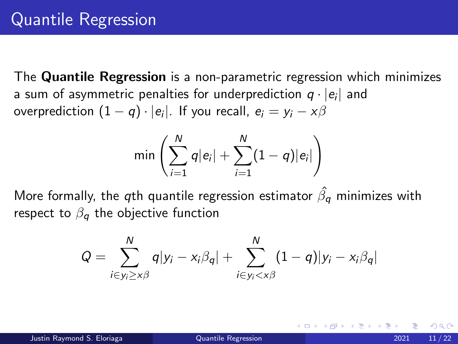The Quantile Regression is a non-parametric regression which minimizes a sum of asymmetric penalties for underprediction  $q\cdot |e_i|$  and overprediction  $(1-q)\cdot |e_i|$ . If you recall,  $e_i=y_i-x\beta$ 

$$
\min\left(\sum_{i=1}^N q|e_i| + \sum_{i=1}^N (1-q)|e_i|\right)
$$

More formally, the  $q$ th quantile regression estimator  $\hat{\beta_q}$  minimizes with respect to  $\beta_{q}$  the objective function

$$
Q = \sum_{i \in y_i \ge x\beta}^N q|y_i - x_i\beta_q| + \sum_{i \in y_i < x\beta}^N (1-q)|y_i - x_i\beta_q|
$$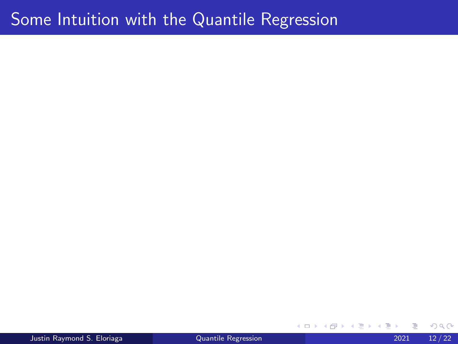#### Some Intuition with the Quantile Regression

Justin Raymond S. Eloriaga [Quantile Regression](#page-0-0) 2021 12 / 22

4 D.K. ∢母  $\sim$  $\rightarrow$ ∍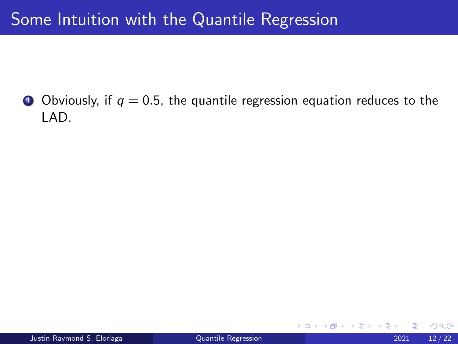## Some Intuition with the Quantile Regression

**O** Obviously, if  $q = 0.5$ , the quantile regression equation reduces to the LAD.

4 0 8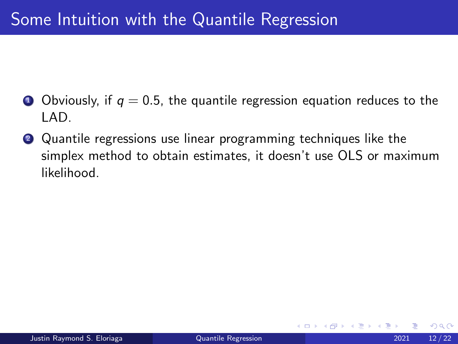## Some Intuition with the Quantile Regression

- **O** Obviously, if  $q = 0.5$ , the quantile regression equation reduces to the LAD.
- <sup>2</sup> Quantile regressions use linear programming techniques like the simplex method to obtain estimates, it doesn't use OLS or maximum likelihood.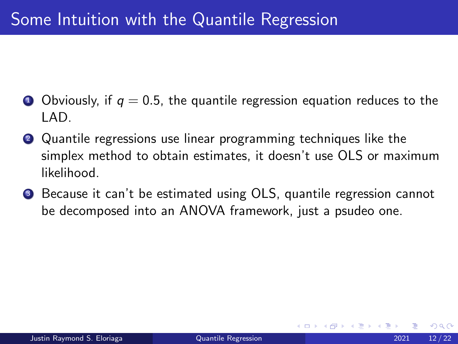- **O** Obviously, if  $q = 0.5$ , the quantile regression equation reduces to the LAD.
- <sup>2</sup> Quantile regressions use linear programming techniques like the simplex method to obtain estimates, it doesn't use OLS or maximum likelihood.
- **3** Because it can't be estimated using OLS, quantile regression cannot be decomposed into an ANOVA framework, just a psudeo one.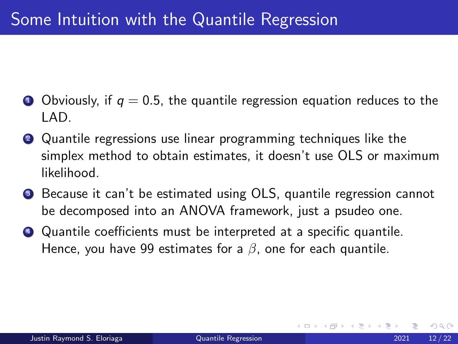- **O** Obviously, if  $q = 0.5$ , the quantile regression equation reduces to the LAD.
- <sup>2</sup> Quantile regressions use linear programming techniques like the simplex method to obtain estimates, it doesn't use OLS or maximum likelihood.
- **3** Because it can't be estimated using OLS, quantile regression cannot be decomposed into an ANOVA framework, just a psudeo one.
- <sup>4</sup> Quantile coefficients must be interpreted at a specific quantile. Hence, you have 99 estimates for a  $\beta$ , one for each quantile.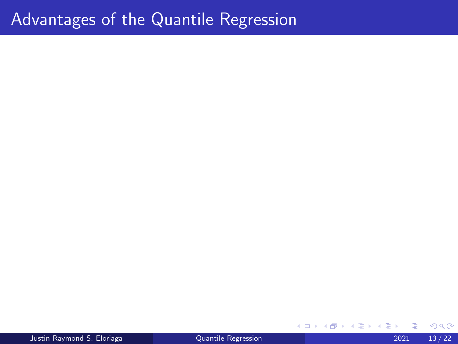#### Advantages of the Quantile Regression

**D** 

 $4$  ロ }  $4$  何 }  $4$  ヨ }  $4$  ∃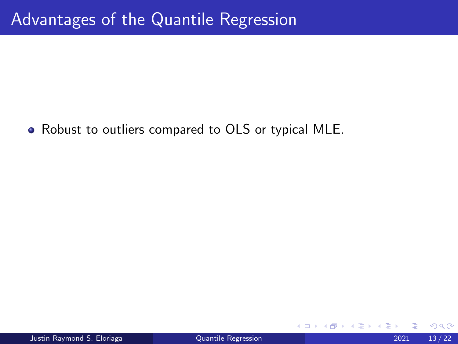• Robust to outliers compared to OLS or typical MLE.

4 D F

 $QQ$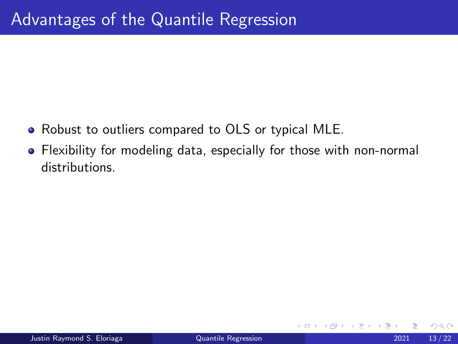- Robust to outliers compared to OLS or typical MLE.
- Flexibility for modeling data, especially for those with non-normal distributions.

4 0 8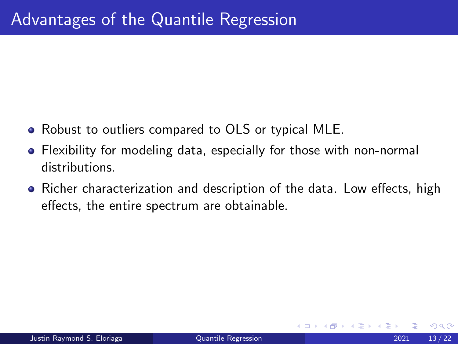- Robust to outliers compared to OLS or typical MLE.
- Flexibility for modeling data, especially for those with non-normal distributions.
- Richer characterization and description of the data. Low effects, high effects, the entire spectrum are obtainable.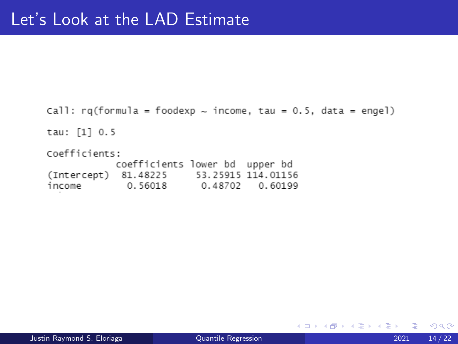```
Call: rq(formula = foodexp \sim income, tau = 0.5, data = engel)
tau: [1] 0.5
Coefficients:
           coefficients lower bd upper bd
(Intercept) 81.48225 53.25915 114.01156
income
       0.56018 0.48702 0.60199
```
 $\Omega$ 

**≮ロト ⊀母 ▶ ≮ ヨ ▶ ⊀ ヨ ▶**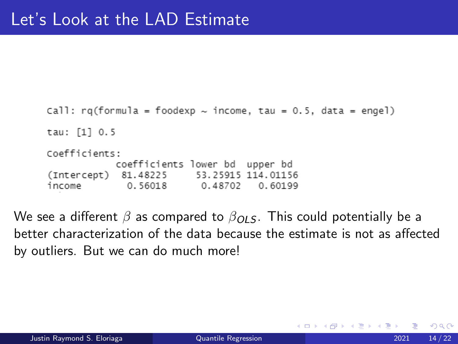```
Call: rq(formula = foodexp \sim income, tau = 0.5, data = engel)
tau: [1] 0.5
Coefficients:
           coefficients lower bd upper bd
(Intercept) 81.48225
                         53.25915 114.01156
         0.56018 0.48702
income
                                   0.60199
```
We see a different  $\beta$  as compared to  $\beta_{OL}$  . This could potentially be a better characterization of the data because the estimate is not as affected by outliers. But we can do much more!

4 E X 4 E X

 $QQ$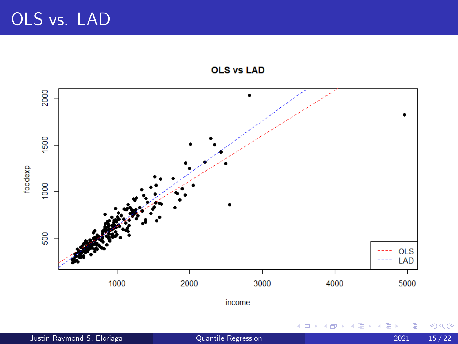OLS vs. LAD

**OLS vs LAD** 



 $2Q$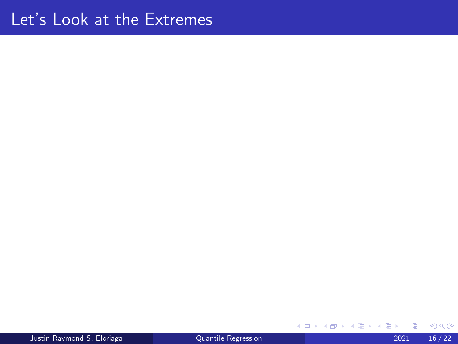Justin Raymond S. Eloriaga [Quantile Regression](#page-0-0) 2021 16 / 22

メロトメ 倒 トメ ミトメ ミト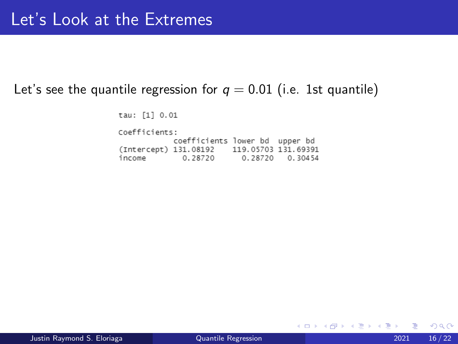#### Let's see the quantile regression for  $q = 0.01$  (i.e. 1st quantile)

tau: [1] 0.01

Coefficients: coefficients lower bd upper bd (Intercept) 131.08192 119.05703 131.69391 income 0.28720 0.28720 0.30454

 $\Omega$ 

- 4 差 8 3 4 差 8

**∢ □ ▶ ⊣ 倒 ▶**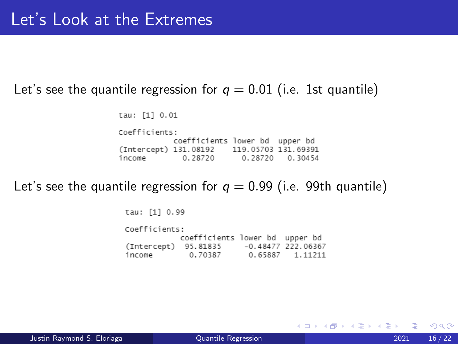#### Let's see the quantile regression for  $q = 0.01$  (i.e. 1st quantile)

tau: [1] 0.01

Coefficients: coefficients lower bd upper bd (Intercept) 131.08192 119.05703 131.69391 income 0.28720 0.28720 0.30454

Let's see the quantile regression for  $q = 0.99$  (i.e. 99th quantile)

tau: [1] 0.99 Coefficients: coefficients lower bd upper bd (Intercept) 95.81835 -0.48477 222.06367 0.70387 0.65887 1.11211 income

 $\Omega$ 

イタト イミト イヨト

4 0 F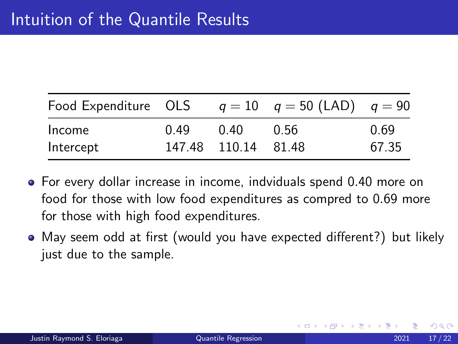| Food Expenditure OLS |      |                     | $q = 10$ $q = 50$ (LAD) $q = 90$ |       |
|----------------------|------|---------------------|----------------------------------|-------|
| Income               | 0.49 | 0.40                | - 0.56                           | 0.69  |
| Intercept            |      | 147.48 110.14 81.48 |                                  | 67.35 |

- For every dollar increase in income, indviduals spend 0.40 more on food for those with low food expenditures as compred to 0.69 more for those with high food expenditures.
- May seem odd at first (would you have expected different?) but likely just due to the sample.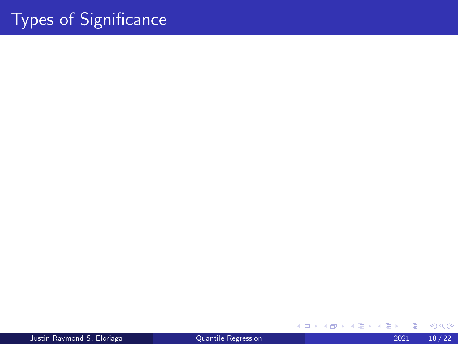# Types of Significance

Justin Raymond S. Eloriaga [Quantile Regression](#page-0-0) 2021 18 / 22

メロトメ 倒 トメ ミトメ ミト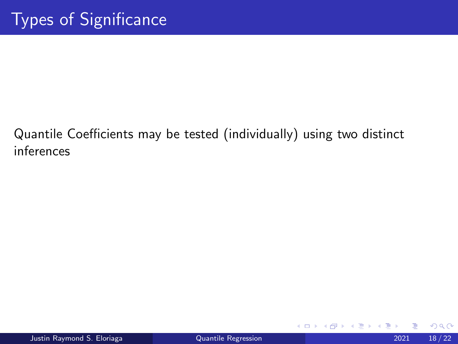#### Quantile Coefficients may be tested (individually) using two distinct inferences

∢ □ ▶ ⊣ *←* □

Beka B

 $QQ$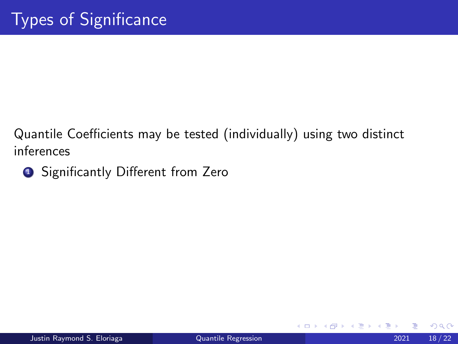Quantile Coefficients may be tested (individually) using two distinct inferences

**1** Significantly Different from Zero

4 0 F

→ < 3H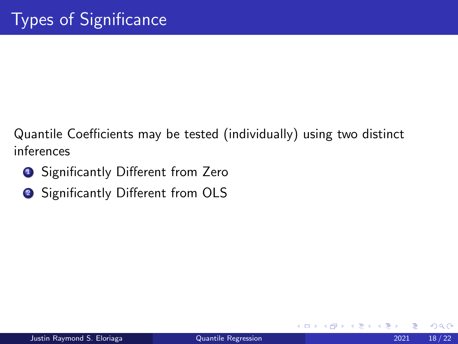Quantile Coefficients may be tested (individually) using two distinct inferences

- **1** Significantly Different from Zero
- <sup>2</sup> Significantly Different from OLS

4 D F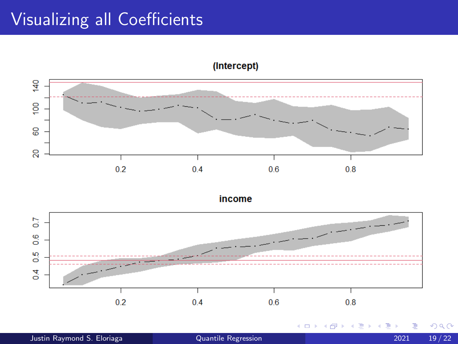# Visualizing all Coefficients

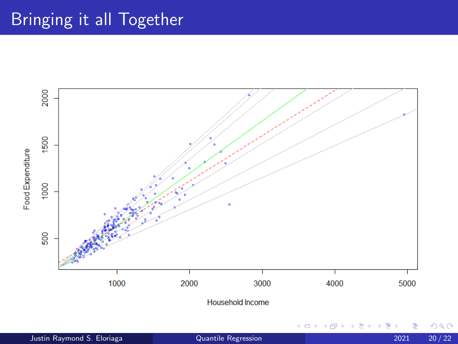## Bringing it all Together

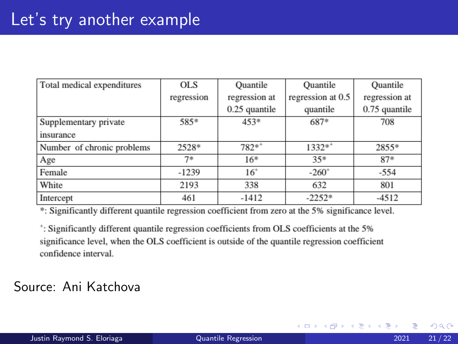| Total medical expenditures | <b>OLS</b> | Quantile        | Quantile          | Quantile      |
|----------------------------|------------|-----------------|-------------------|---------------|
|                            | regression | regression at   | regression at 0.5 | regression at |
|                            |            | $0.25$ quantile | quantile          | 0.75 quantile |
| Supplementary private      | 585*       | 453*            | 687*              | 708           |
| insurance                  |            |                 |                   |               |
| Number of chronic problems | 2528*      | $782**$         | $1332**$          | 2855*         |
| Age                        | $7*$       | $16*$           | $35*$             | $87*$         |
| Female                     | $-1239$    | $16^{+}$        | $-260^+$          | $-554$        |
| White                      | 2193       | 338             | 632               | 801           |
| Intercept                  | 461        | $-1412$         | $-2252*$          | $-4512$       |

\*: Significantly different quantile regression coefficient from zero at the 5% significance level.

<sup>+</sup>: Significantly different quantile regression coefficients from OLS coefficients at the 5% significance level, when the OLS coefficient is outside of the quantile regression coefficient confidence interval.

#### Source: Ani Katchova

 $\mathcal{A} \ \equiv \ \mathcal{B} \ \ \mathcal{A} \ \equiv \ \mathcal{B}$ 

◂**◻▸ ◂◚▸** 

 $QQ$